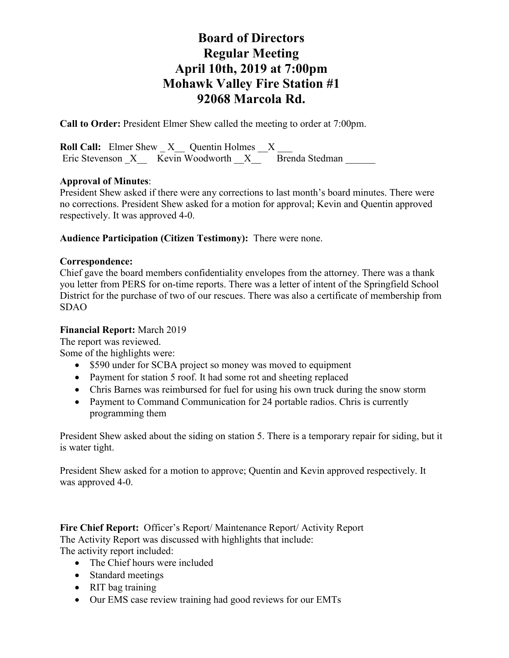**Call to Order:** President Elmer Shew called the meeting to order at 7:00pm.

**Roll Call:** Elmer Shew X Quentin Holmes X Eric Stevenson X Kevin Woodworth X Brenda Stedman

## **Approval of Minutes**:

President Shew asked if there were any corrections to last month's board minutes. There were no corrections. President Shew asked for a motion for approval; Kevin and Quentin approved respectively. It was approved 4-0.

## **Audience Participation (Citizen Testimony):** There were none.

#### **Correspondence:**

Chief gave the board members confidentiality envelopes from the attorney. There was a thank you letter from PERS for on-time reports. There was a letter of intent of the Springfield School District for the purchase of two of our rescues. There was also a certificate of membership from SDAO

#### **Financial Report:** March 2019

The report was reviewed.

Some of the highlights were:

- \$590 under for SCBA project so money was moved to equipment
- Payment for station 5 roof. It had some rot and sheeting replaced
- Chris Barnes was reimbursed for fuel for using his own truck during the snow storm
- Payment to Command Communication for 24 portable radios. Chris is currently programming them

President Shew asked about the siding on station 5. There is a temporary repair for siding, but it is water tight.

President Shew asked for a motion to approve; Quentin and Kevin approved respectively. It was approved 4-0.

**Fire Chief Report:** Officer's Report/ Maintenance Report/ Activity Report The Activity Report was discussed with highlights that include: The activity report included:

- The Chief hours were included
- Standard meetings
- RIT bag training
- Our EMS case review training had good reviews for our EMTs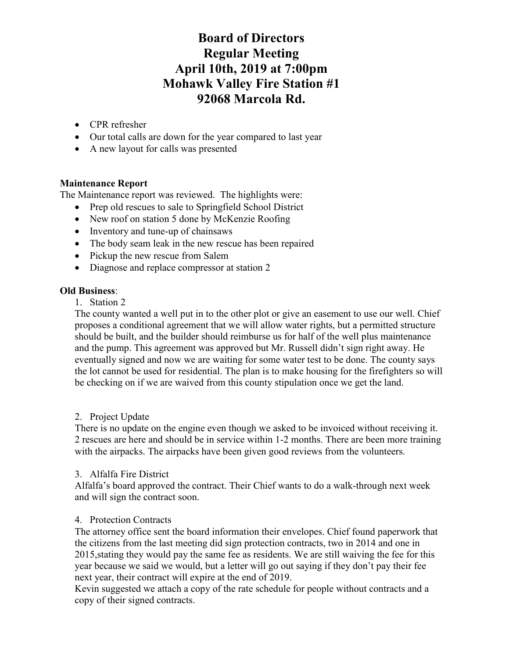- CPR refresher
- Our total calls are down for the year compared to last year
- A new layout for calls was presented

## **Maintenance Report**

The Maintenance report was reviewed. The highlights were:

- Prep old rescues to sale to Springfield School District
- New roof on station 5 done by McKenzie Roofing
- Inventory and tune-up of chainsaws
- The body seam leak in the new rescue has been repaired
- Pickup the new rescue from Salem
- Diagnose and replace compressor at station 2

## **Old Business**:

1. Station 2

The county wanted a well put in to the other plot or give an easement to use our well. Chief proposes a conditional agreement that we will allow water rights, but a permitted structure should be built, and the builder should reimburse us for half of the well plus maintenance and the pump. This agreement was approved but Mr. Russell didn't sign right away. He eventually signed and now we are waiting for some water test to be done. The county says the lot cannot be used for residential. The plan is to make housing for the firefighters so will be checking on if we are waived from this county stipulation once we get the land.

## 2. Project Update

There is no update on the engine even though we asked to be invoiced without receiving it. 2 rescues are here and should be in service within 1-2 months. There are been more training with the airpacks. The airpacks have been given good reviews from the volunteers.

## 3. Alfalfa Fire District

Alfalfa's board approved the contract. Their Chief wants to do a walk-through next week and will sign the contract soon.

## 4. Protection Contracts

The attorney office sent the board information their envelopes. Chief found paperwork that the citizens from the last meeting did sign protection contracts, two in 2014 and one in 2015,stating they would pay the same fee as residents. We are still waiving the fee for this year because we said we would, but a letter will go out saying if they don't pay their fee next year, their contract will expire at the end of 2019.

Kevin suggested we attach a copy of the rate schedule for people without contracts and a copy of their signed contracts.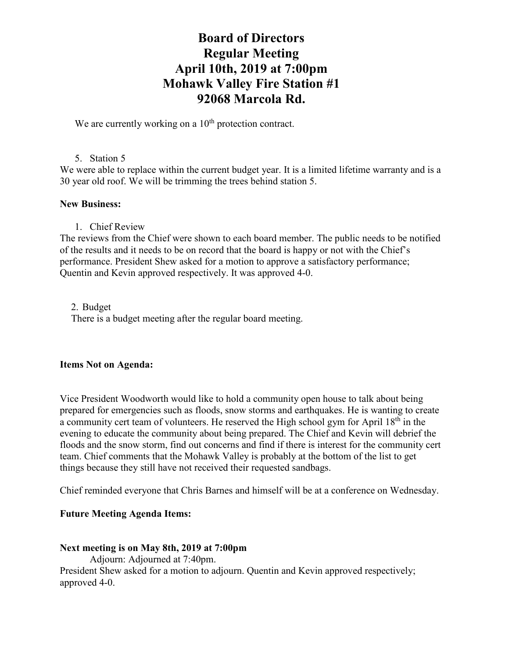We are currently working on a  $10<sup>th</sup>$  protection contract.

#### 5. Station 5

We were able to replace within the current budget year. It is a limited lifetime warranty and is a 30 year old roof. We will be trimming the trees behind station 5.

#### **New Business:**

#### 1. Chief Review

The reviews from the Chief were shown to each board member. The public needs to be notified of the results and it needs to be on record that the board is happy or not with the Chief's performance. President Shew asked for a motion to approve a satisfactory performance; Quentin and Kevin approved respectively. It was approved 4-0.

2. Budget There is a budget meeting after the regular board meeting.

#### **Items Not on Agenda:**

Vice President Woodworth would like to hold a community open house to talk about being prepared for emergencies such as floods, snow storms and earthquakes. He is wanting to create a community cert team of volunteers. He reserved the High school gym for April 18<sup>th</sup> in the evening to educate the community about being prepared. The Chief and Kevin will debrief the floods and the snow storm, find out concerns and find if there is interest for the community cert team. Chief comments that the Mohawk Valley is probably at the bottom of the list to get things because they still have not received their requested sandbags.

Chief reminded everyone that Chris Barnes and himself will be at a conference on Wednesday.

#### **Future Meeting Agenda Items:**

#### **Next meeting is on May 8th, 2019 at 7:00pm**

Adjourn: Adjourned at 7:40pm.

President Shew asked for a motion to adjourn. Quentin and Kevin approved respectively; approved 4-0.